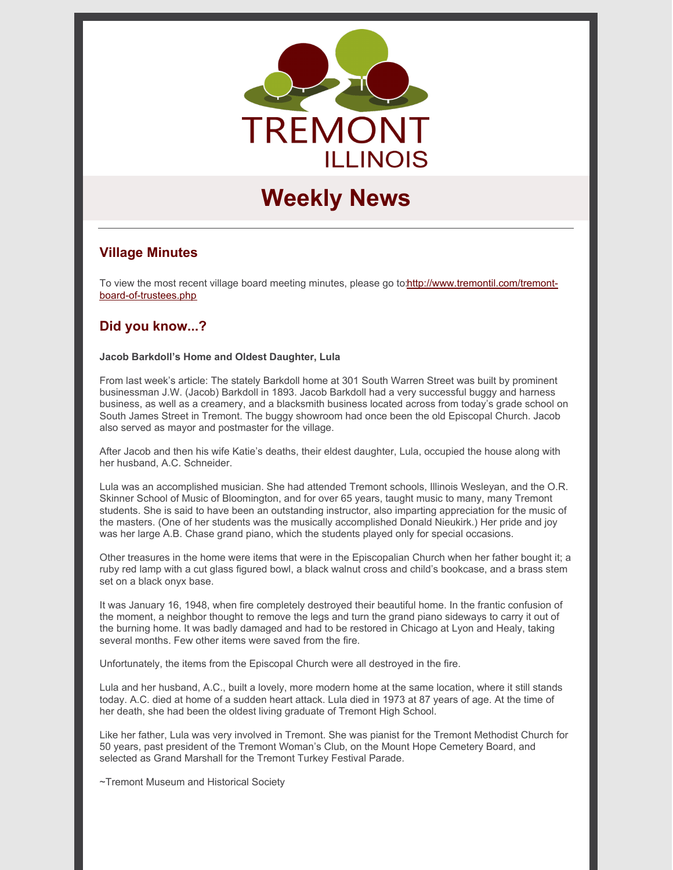

# **Weekly News**

# **Village Minutes**

To view the most recent village board meeting minutes, please go [to:http://www.tremontil.com/tremont](http://www.tremontil.com/tremont-board-of-trustees.php)board-of-trustees.php

# **Did you know...?**

#### **Jacob Barkdoll's Home and Oldest Daughter, Lula**

From last week's article: The stately Barkdoll home at 301 South Warren Street was built by prominent businessman J.W. (Jacob) Barkdoll in 1893. Jacob Barkdoll had a very successful buggy and harness business, as well as a creamery, and a blacksmith business located across from today's grade school on South James Street in Tremont. The buggy showroom had once been the old Episcopal Church. Jacob also served as mayor and postmaster for the village.

After Jacob and then his wife Katie's deaths, their eldest daughter, Lula, occupied the house along with her husband, A.C. Schneider.

Lula was an accomplished musician. She had attended Tremont schools, Illinois Wesleyan, and the O.R. Skinner School of Music of Bloomington, and for over 65 years, taught music to many, many Tremont students. She is said to have been an outstanding instructor, also imparting appreciation for the music of the masters. (One of her students was the musically accomplished Donald Nieukirk.) Her pride and joy was her large A.B. Chase grand piano, which the students played only for special occasions.

Other treasures in the home were items that were in the Episcopalian Church when her father bought it; a ruby red lamp with a cut glass figured bowl, a black walnut cross and child's bookcase, and a brass stem set on a black onyx base.

It was January 16, 1948, when fire completely destroyed their beautiful home. In the frantic confusion of the moment, a neighbor thought to remove the legs and turn the grand piano sideways to carry it out of the burning home. It was badly damaged and had to be restored in Chicago at Lyon and Healy, taking several months. Few other items were saved from the fire.

Unfortunately, the items from the Episcopal Church were all destroyed in the fire.

Lula and her husband, A.C., built a lovely, more modern home at the same location, where it still stands today. A.C. died at home of a sudden heart attack. Lula died in 1973 at 87 years of age. At the time of her death, she had been the oldest living graduate of Tremont High School.

Like her father, Lula was very involved in Tremont. She was pianist for the Tremont Methodist Church for 50 years, past president of the Tremont Woman's Club, on the Mount Hope Cemetery Board, and selected as Grand Marshall for the Tremont Turkey Festival Parade.

~Tremont Museum and Historical Society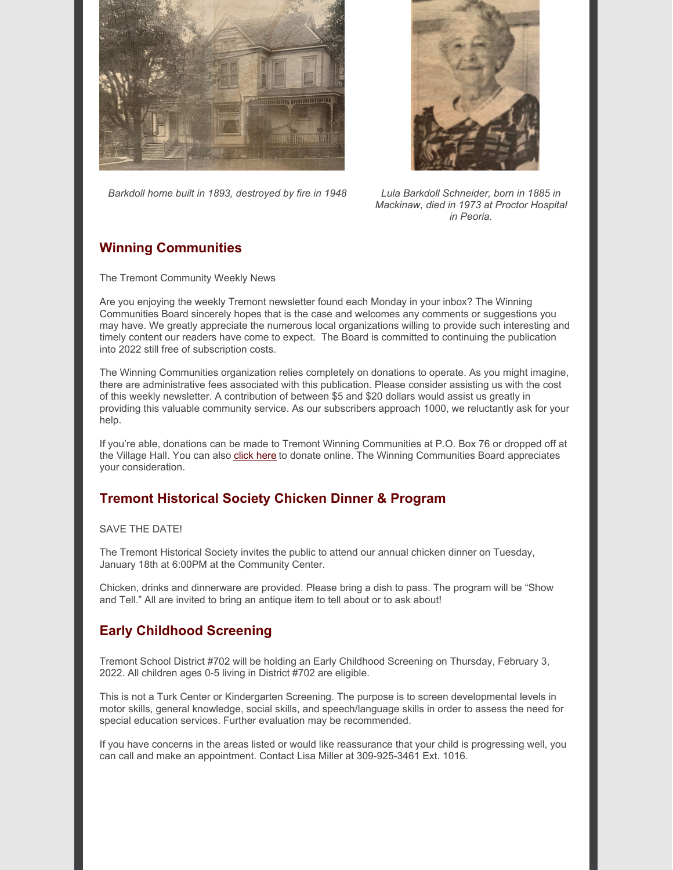



*Barkdoll home built in 1893, destroyed by fire in 1948 Lula Barkdoll Schneider, born in 1885 in*

*Mackinaw, died in 1973 at Proctor Hospital in Peoria.*

# **Winning Communities**

The Tremont Community Weekly News

Are you enjoying the weekly Tremont newsletter found each Monday in your inbox? The Winning Communities Board sincerely hopes that is the case and welcomes any comments or suggestions you may have. We greatly appreciate the numerous local organizations willing to provide such interesting and timely content our readers have come to expect. The Board is committed to continuing the publication into 2022 still free of subscription costs.

The Winning Communities organization relies completely on donations to operate. As you might imagine, there are administrative fees associated with this publication. Please consider assisting us with the cost of this weekly newsletter. A contribution of between \$5 and \$20 dollars would assist us greatly in providing this valuable community service. As our subscribers approach 1000, we reluctantly ask for your help.

If you're able, donations can be made to Tremont Winning Communities at P.O. Box 76 or dropped off at the Village Hall. You can also [click](https://www.tremontil.com/donate.html) here to donate online. The Winning Communities Board appreciates your consideration.

# **Tremont Historical Society Chicken Dinner & Program**

#### SAVE THE DATE!

The Tremont Historical Society invites the public to attend our annual chicken dinner on Tuesday, January 18th at 6:00PM at the Community Center.

Chicken, drinks and dinnerware are provided. Please bring a dish to pass. The program will be "Show and Tell." All are invited to bring an antique item to tell about or to ask about!

## **Early Childhood Screening**

Tremont School District #702 will be holding an Early Childhood Screening on Thursday, February 3, 2022. All children ages 0-5 living in District #702 are eligible.

This is not a Turk Center or Kindergarten Screening. The purpose is to screen developmental levels in motor skills, general knowledge, social skills, and speech/language skills in order to assess the need for special education services. Further evaluation may be recommended.

If you have concerns in the areas listed or would like reassurance that your child is progressing well, you can call and make an appointment. Contact Lisa Miller at 309-925-3461 Ext. 1016.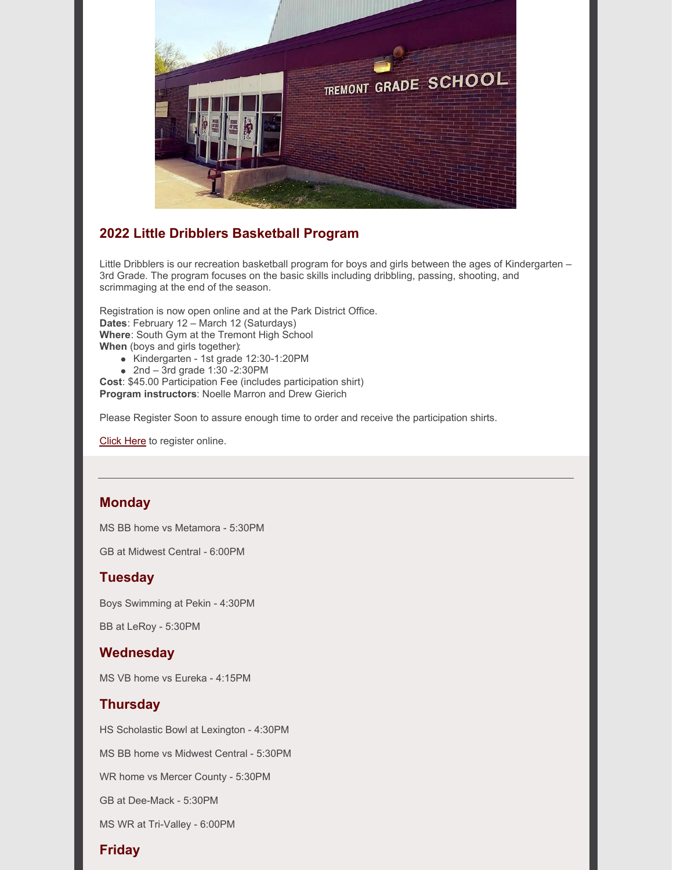

# **2022 Little Dribblers Basketball Program**

Little Dribblers is our recreation basketball program for boys and girls between the ages of Kindergarten – 3rd Grade. The program focuses on the basic skills including dribbling, passing, shooting, and scrimmaging at the end of the season.

Registration is now open online and at the Park District Office. **Dates**: February 12 – March 12 (Saturdays) **Where**: South Gym at the Tremont High School **When** (boys and girls together):

- Kindergarten 1st grade 12:30-1:20PM
- $2nd 3rd$  grade 1:30 -2:30PM

**Cost**: \$45.00 Participation Fee (includes participation shirt) **Program instructors**: Noelle Marron and Drew Gierich

Please Register Soon to assure enough time to order and receive the participation shirts.

[Click](https://tremontpark.recdesk.com/Community/Program/Detail?programId=1039) Here to register online.

## **Monday**

MS BB home vs Metamora - 5:30PM

GB at Midwest Central - 6:00PM

#### **Tuesday**

Boys Swimming at Pekin - 4:30PM

BB at LeRoy - 5:30PM

## **Wednesday**

MS VB home vs Eureka - 4:15PM

## **Thursday**

HS Scholastic Bowl at Lexington - 4:30PM MS BB home vs Midwest Central - 5:30PM WR home vs Mercer County - 5:30PM GB at Dee-Mack - 5:30PM MS WR at Tri-Valley - 6:00PM

# **Friday**